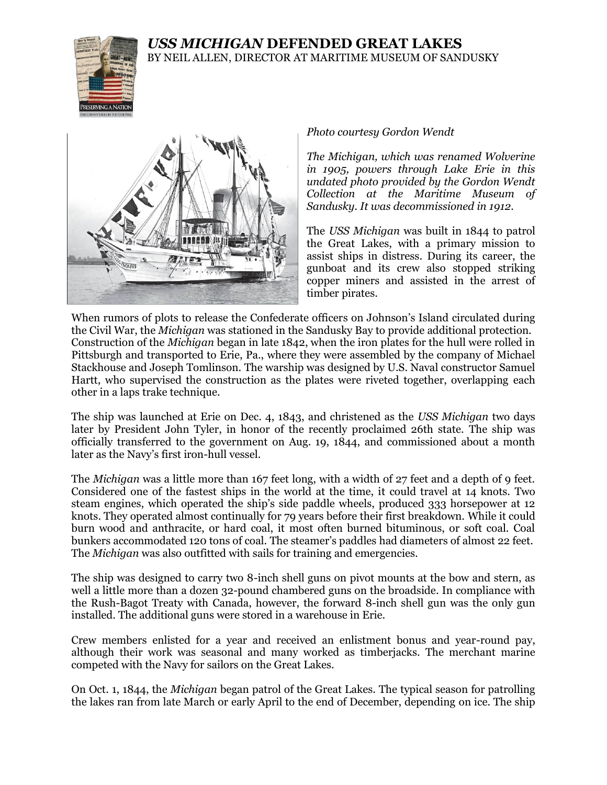## *USS MICHIGAN* **DEFENDED GREAT LAKES** BY NEIL ALLEN, DIRECTOR AT MARITIME MUSEUM OF SANDUSKY





*Photo courtesy Gordon Wendt*

*The Michigan, which was renamed Wolverine in 1905, powers through Lake Erie in this undated photo provided by the Gordon Wendt Collection at the Maritime Museum of Sandusky. It was decommissioned in 1912.*

The *USS Michigan* was built in 1844 to patrol the Great Lakes, with a primary mission to assist ships in distress. During its career, the gunboat and its crew also stopped striking copper miners and assisted in the arrest of timber pirates.

When rumors of plots to release the Confederate officers on Johnson's Island circulated during the Civil War, the *Michigan* was stationed in the Sandusky Bay to provide additional protection. Construction of the *Michigan* began in late 1842, when the iron plates for the hull were rolled in Pittsburgh and transported to Erie, Pa., where they were assembled by the company of Michael Stackhouse and Joseph Tomlinson. The warship was designed by U.S. Naval constructor Samuel Hartt, who supervised the construction as the plates were riveted together, overlapping each other in a laps trake technique.

The ship was launched at Erie on Dec. 4, 1843, and christened as the *USS Michigan* two days later by President John Tyler, in honor of the recently proclaimed 26th state. The ship was officially transferred to the government on Aug. 19, 1844, and commissioned about a month later as the Navy's first iron-hull vessel.

The *Michigan* was a little more than 167 feet long, with a width of 27 feet and a depth of 9 feet. Considered one of the fastest ships in the world at the time, it could travel at 14 knots. Two steam engines, which operated the ship's side paddle wheels, produced 333 horsepower at 12 knots. They operated almost continually for 79 years before their first breakdown. While it could burn wood and anthracite, or hard coal, it most often burned bituminous, or soft coal. Coal bunkers accommodated 120 tons of coal. The steamer's paddles had diameters of almost 22 feet. The *Michigan* was also outfitted with sails for training and emergencies.

The ship was designed to carry two 8-inch shell guns on pivot mounts at the bow and stern, as well a little more than a dozen 32-pound chambered guns on the broadside. In compliance with the Rush-Bagot Treaty with Canada, however, the forward 8-inch shell gun was the only gun installed. The additional guns were stored in a warehouse in Erie.

Crew members enlisted for a year and received an enlistment bonus and year-round pay, although their work was seasonal and many worked as timberjacks. The merchant marine competed with the Navy for sailors on the Great Lakes.

On Oct. 1, 1844, the *Michigan* began patrol of the Great Lakes. The typical season for patrolling the lakes ran from late March or early April to the end of December, depending on ice. The ship